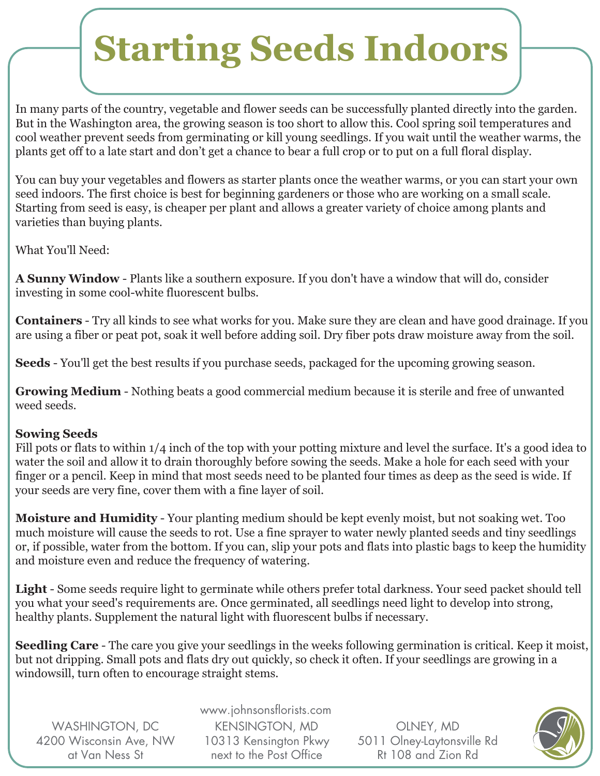# **Starting Seeds Indoors**

In many parts of the country, vegetable and flower seeds can be successfully planted directly into the garden. But in the Washington area, the growing season is too short to allow this. Cool spring soil temperatures and cool weather prevent seeds from germinating or kill young seedlings. If you wait until the weather warms, the plants get off to a late start and don't get a chance to bear a full crop or to put on a full floral display.

You can buy your vegetables and flowers as starter plants once the weather warms, or you can start your own seed indoors. The first choice is best for beginning gardeners or those who are working on a small scale. Starting from seed is easy, is cheaper per plant and allows a greater variety of choice among plants and varieties than buying plants.

What You'll Need:

**A Sunny Window** - Plants like a southern exposure. If you don't have a window that will do, consider investing in some cool-white fluorescent bulbs.

**Containers** - Try all kinds to see what works for you. Make sure they are clean and have good drainage. If you are using a fiber or peat pot, soak it well before adding soil. Dry fiber pots draw moisture away from the soil.

**Seeds** - You'll get the best results if you purchase seeds, packaged for the upcoming growing season.

**Growing Medium** - Nothing beats a good commercial medium because it is sterile and free of unwanted weed seeds.

### **Sowing Seeds**

Fill pots or flats to within 1/4 inch of the top with your potting mixture and level the surface. It's a good idea to water the soil and allow it to drain thoroughly before sowing the seeds. Make a hole for each seed with your finger or a pencil. Keep in mind that most seeds need to be planted four times as deep as the seed is wide. If your seeds are very fine, cover them with a fine layer of soil.

**Moisture and Humidity** - Your planting medium should be kept evenly moist, but not soaking wet. Too much moisture will cause the seeds to rot. Use a fine sprayer to water newly planted seeds and tiny seedlings or, if possible, water from the bottom. If you can, slip your pots and flats into plastic bags to keep the humidity and moisture even and reduce the frequency of watering.

**Light** - Some seeds require light to germinate while others prefer total darkness. Your seed packet should tell you what your seed's requirements are. Once germinated, all seedlings need light to develop into strong, healthy plants. Supplement the natural light with fluorescent bulbs if necessary.

**Seedling Care** - The care you give your seedlings in the weeks following germination is critical. Keep it moist, but not dripping. Small pots and flats dry out quickly, so check it often. If your seedlings are growing in a windowsill, turn often to encourage straight stems.

WASHINGTON, DC 4200 Wisconsin Ave, NW at Van Ness St

www.johnsonsflorists.com KENSINGTON, MD 10313 Kensington Pkwy next to the Post Office

OLNEY, MD 5011 Olney-Laytonsville Rd Rt 108 and Zion Rd